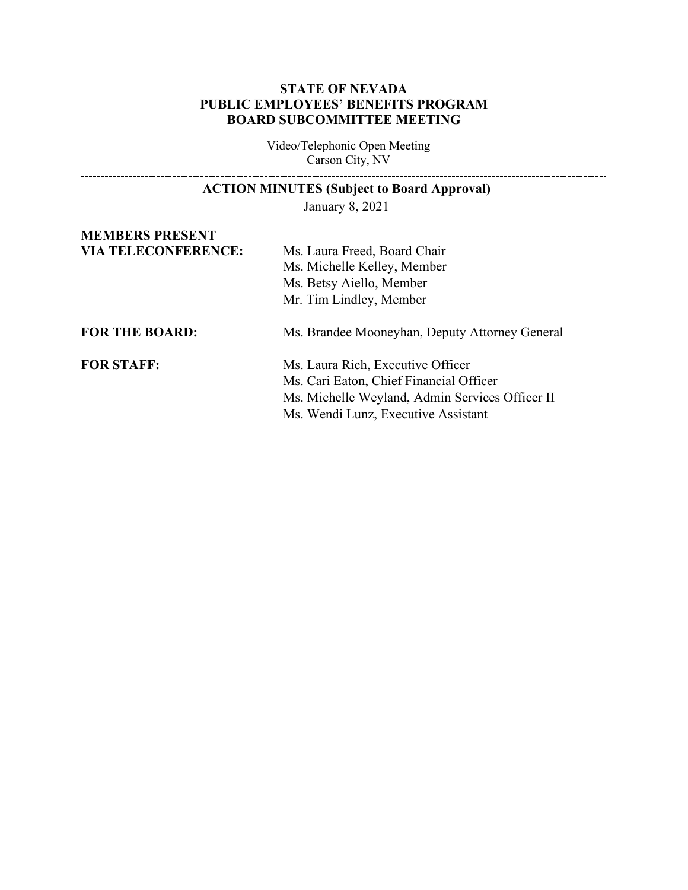### **STATE OF NEVADA PUBLIC EMPLOYEES' BENEFITS PROGRAM BOARD SUBCOMMITTEE MEETING**

Video/Telephonic Open Meeting Carson City, NV

# **ACTION MINUTES (Subject to Board Approval)** January 8, 2021 **MEMBERS PRESENT VIA TELECONFERENCE:** Ms. Laura Freed, Board Chair Ms. Michelle Kelley, Member Ms. Betsy Aiello, Member Mr. Tim Lindley, Member **FOR THE BOARD:** Ms. Brandee Mooneyhan, Deputy Attorney General **FOR STAFF:** Ms. Laura Rich, Executive Officer Ms. Cari Eaton, Chief Financial Officer Ms. Michelle Weyland, Admin Services Officer II Ms. Wendi Lunz, Executive Assistant